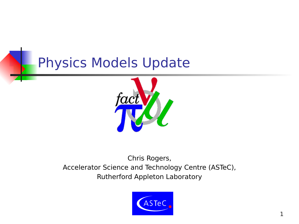### Physics Models Update



#### Chris Rogers, Accelerator Science and Technology Centre (ASTeC), Rutherford Appleton Laboratory

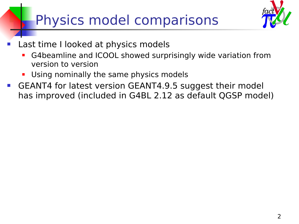# Physics model comparisons



- Last time I looked at physics models
	- G4beamline and ICOOL showed surprisingly wide variation from version to version
	- **Using nominally the same physics models**
- GEANT4 for latest version GEANT4.9.5 suggest their model has improved (included in G4BL 2.12 as default QGSP model)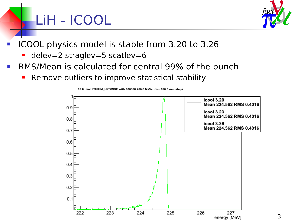# LiH - ICOOL



- ICOOL physics model is stable from 3.20 to 3.26
	- delev=2 straglev=5 scatlev=6
- **RMS/Mean is calculated for central 99% of the bunch** 
	- **-** Remove outliers to improve statistical stability



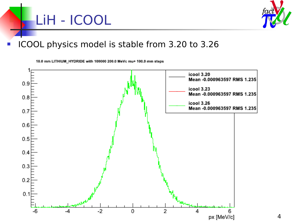



#### ICOOL physics model is stable from 3.20 to 3.26

10.0 mm LITHIUM\_HYDRIDE with 100000 200.0 MeVc mu+ 100.0 mm steps

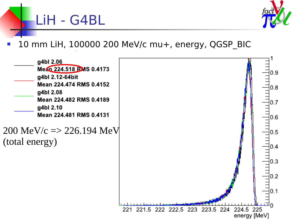

10 mm LiH, 100000 200 MeV/c mu+, energy, QGSP\_BIC

LiH - G4BL

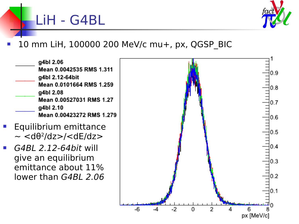

### 10 mm LiH, 100000 200 MeV/c mu+, px, QGSP\_BIC

q4bl 2.06 Mean 0.0042535 RMS 1.311 g4bl 2.12-64bit Mean 0.0101664 RMS 1.259 g4bl 2.08 Mean 0.00527031 RMS 1.27 g4bl 2.10 Mean 0.00423272 RMS 1.279

LiH - G4BL

- Equilibrium emittance  $\sim$  <d $\theta$ <sup>2</sup>/dz>/<dE/dz>
- G4BL 2.12-64bit will give an equilibrium emittance about 11% lower than G4BL 2.06

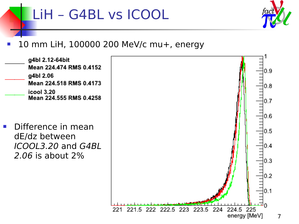## LiH – G4BL vs ICOOL



### 10 mm LiH, 100000 200 MeV/c mu+, energy

g4bl 2.12-64bit Mean 224.474 RMS 0.4152 g4bl 2.06 Mean 224,518 RMS 0.4173 icool 3.20 Mean 224,555 RMS 0.4258

**Difference in mean** dE/dz between ICOOL3.20 and G4BL 2.06 is about 2%

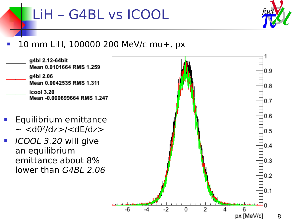## LiH – G4BL vs ICOOL



#### 10 mm LiH, 100000 200 MeV/c mu+, px



- Equilibrium emittance  $\sim$  <d $\theta$ <sup>2</sup>/dz>/<dE/dz>
- ICOOL 3.20 will give an equilibrium emittance about 8% lower than G4BL 2.06

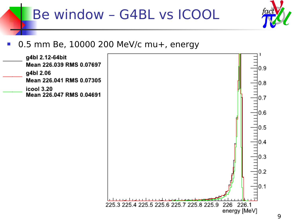



#### 0.5 mm Be, 10000 200 MeV/c mu+, energy  $\mathbb{R}^3$

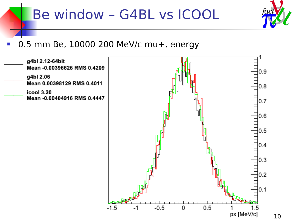### Be window - G4BL vs ICOOL



#### 0.5 mm Be, 10000 200 MeV/c mu+, energy

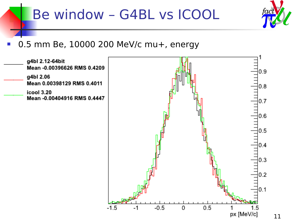### Be window - G4BL vs ICOOL



#### 0.5 mm Be, 10000 200 MeV/c mu+, energy

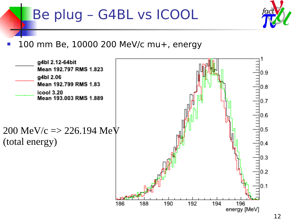### Be plug - G4BL vs ICOOL



100 mm Be, 10000 200 MeV/c mu+, energy

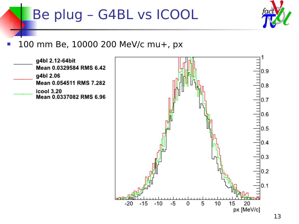### Be plug - G4BL vs ICOOL



#### 100 mm Be, 10000 200 MeV/c mu+, px



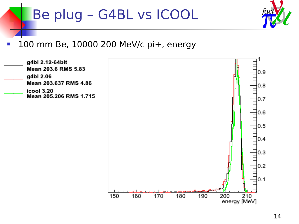### Be plug - G4BL vs ICOOL



#### 100 mm Be, 10000 200 MeV/c pi+, energy  $\mathbb{R}^3$

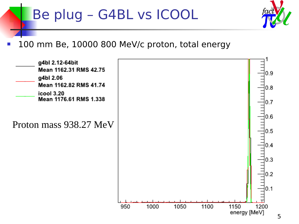### Be plug – G4BL vs ICOOL



100 mm Be, 10000 800 MeV/c proton, total energy